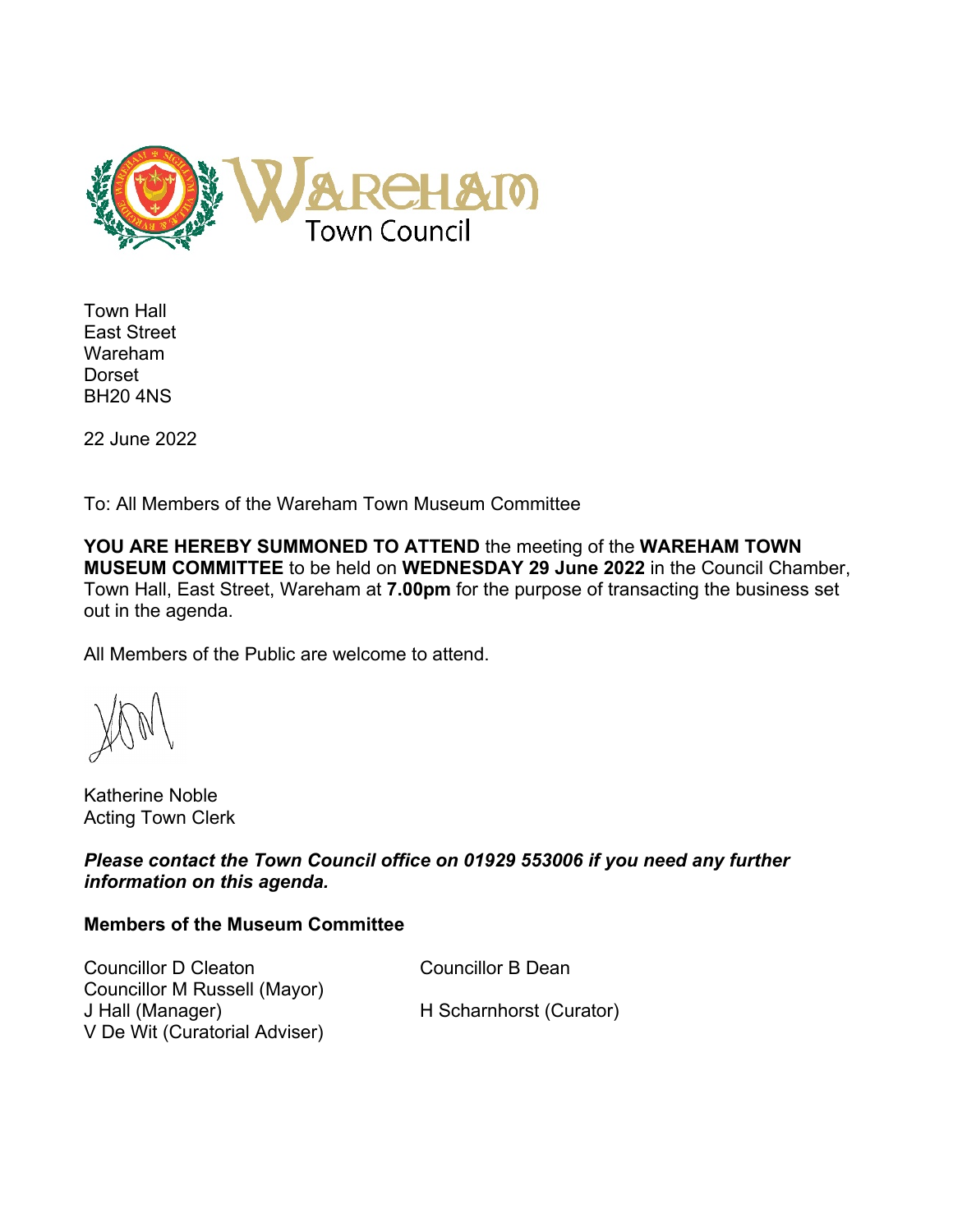

Town Hall East Street Wareham Dorset BH20 4NS

22 June 2022

To: All Members of the Wareham Town Museum Committee

**YOU ARE HEREBY SUMMONED TO ATTEND** the meeting of the **WAREHAM TOWN MUSEUM COMMITTEE** to be held on **WEDNESDAY 29 June 2022** in the Council Chamber, Town Hall, East Street, Wareham at **7.00pm** for the purpose of transacting the business set out in the agenda.

All Members of the Public are welcome to attend.

Katherine Noble Acting Town Clerk

*Please contact the Town Council office on 01929 553006 if you need any further information on this agenda.*

## **Members of the Museum Committee**

Councillor D Cleaton Councillor B Dean Councillor M Russell (Mayor) J Hall (Manager) H Scharnhorst (Curator) V De Wit (Curatorial Adviser)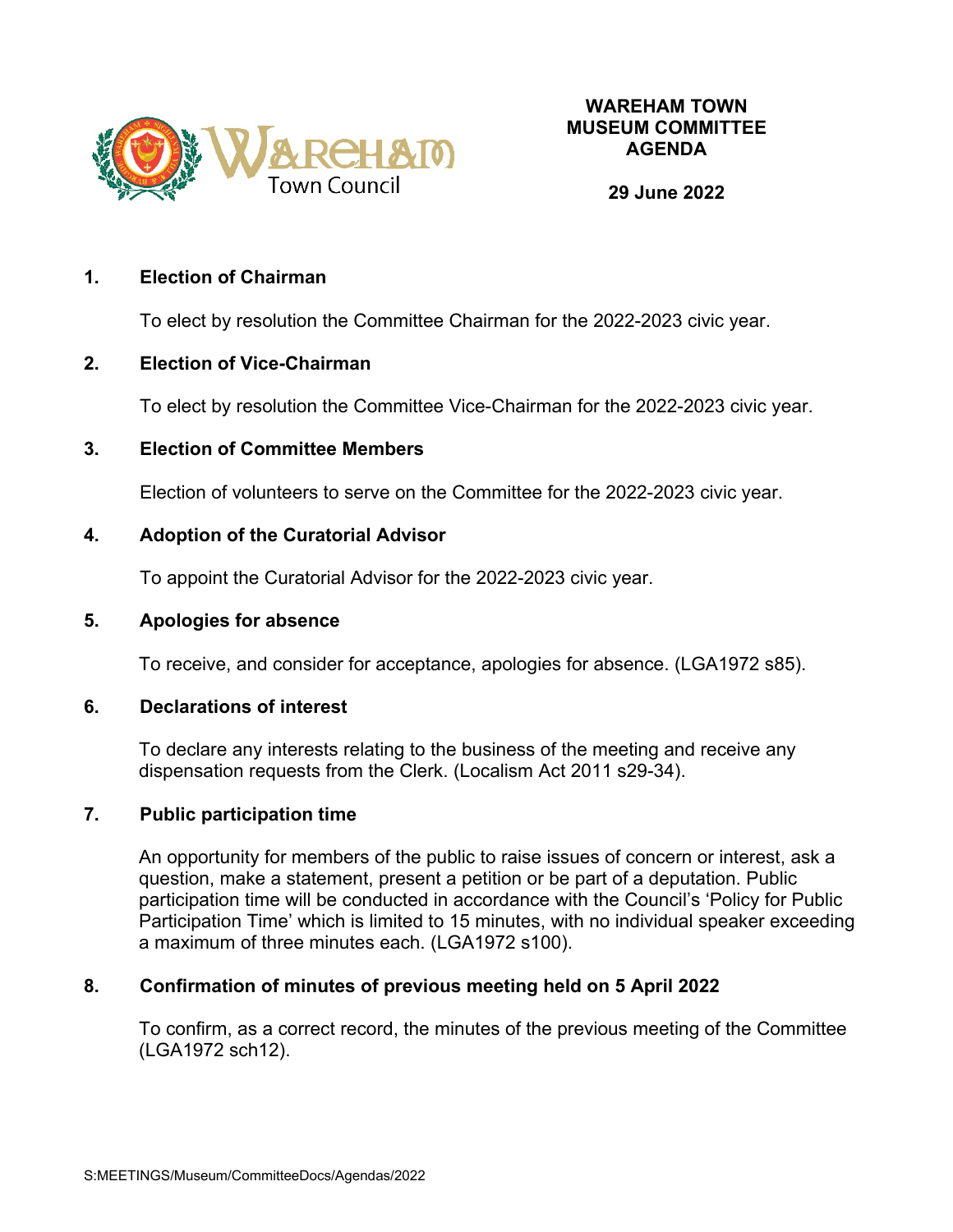

#### **29 June 2022**

#### **1. Election of Chairman**

To elect by resolution the Committee Chairman for the 2022-2023 civic year.

#### **2. Election of Vice-Chairman**

To elect by resolution the Committee Vice-Chairman for the 2022-2023 civic year.

### **3. Election of Committee Members**

Election of volunteers to serve on the Committee for the 2022-2023 civic year.

### **4. Adoption of the Curatorial Advisor**

To appoint the Curatorial Advisor for the 2022-2023 civic year.

#### **5. Apologies for absence**

To receive, and consider for acceptance, apologies for absence. (LGA1972 s85).

### **6. Declarations of interest**

To declare any interests relating to the business of the meeting and receive any dispensation requests from the Clerk. (Localism Act 2011 s29-34).

### **7. Public participation time**

An opportunity for members of the public to raise issues of concern or interest, ask a question, make a statement, present a petition or be part of a deputation. Public participation time will be conducted in accordance with the Council's 'Policy for Public Participation Time' which is limited to 15 minutes, with no individual speaker exceeding a maximum of three minutes each. (LGA1972 s100).

### **8. Confirmation of minutes of previous meeting held on 5 April 2022**

To confirm, as a correct record, the minutes of the previous meeting of the Committee (LGA1972 sch12).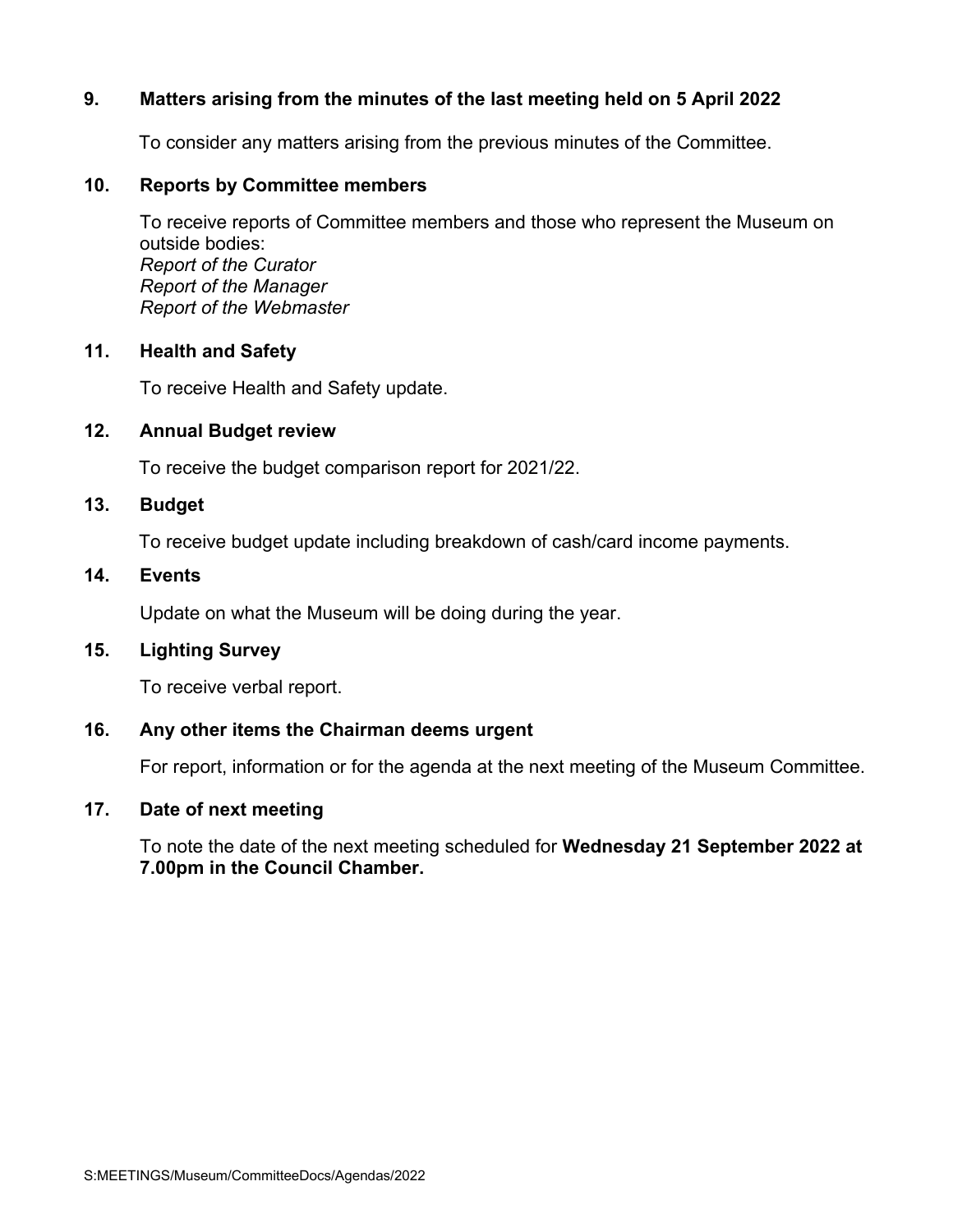## **9. Matters arising from the minutes of the last meeting held on 5 April 2022**

To consider any matters arising from the previous minutes of the Committee.

#### **10. Reports by Committee members**

To receive reports of Committee members and those who represent the Museum on outside bodies: *Report of the Curator Report of the Manager Report of the Webmaster*

#### **11. Health and Safety**

To receive Health and Safety update.

#### **12. Annual Budget review**

To receive the budget comparison report for 2021/22.

#### **13. Budget**

To receive budget update including breakdown of cash/card income payments.

## **14. Events**

Update on what the Museum will be doing during the year.

### **15. Lighting Survey**

To receive verbal report.

### **16. Any other items the Chairman deems urgent**

For report, information or for the agenda at the next meeting of the Museum Committee.

### **17. Date of next meeting**

To note the date of the next meeting scheduled for **Wednesday 21 September 2022 at 7.00pm in the Council Chamber.**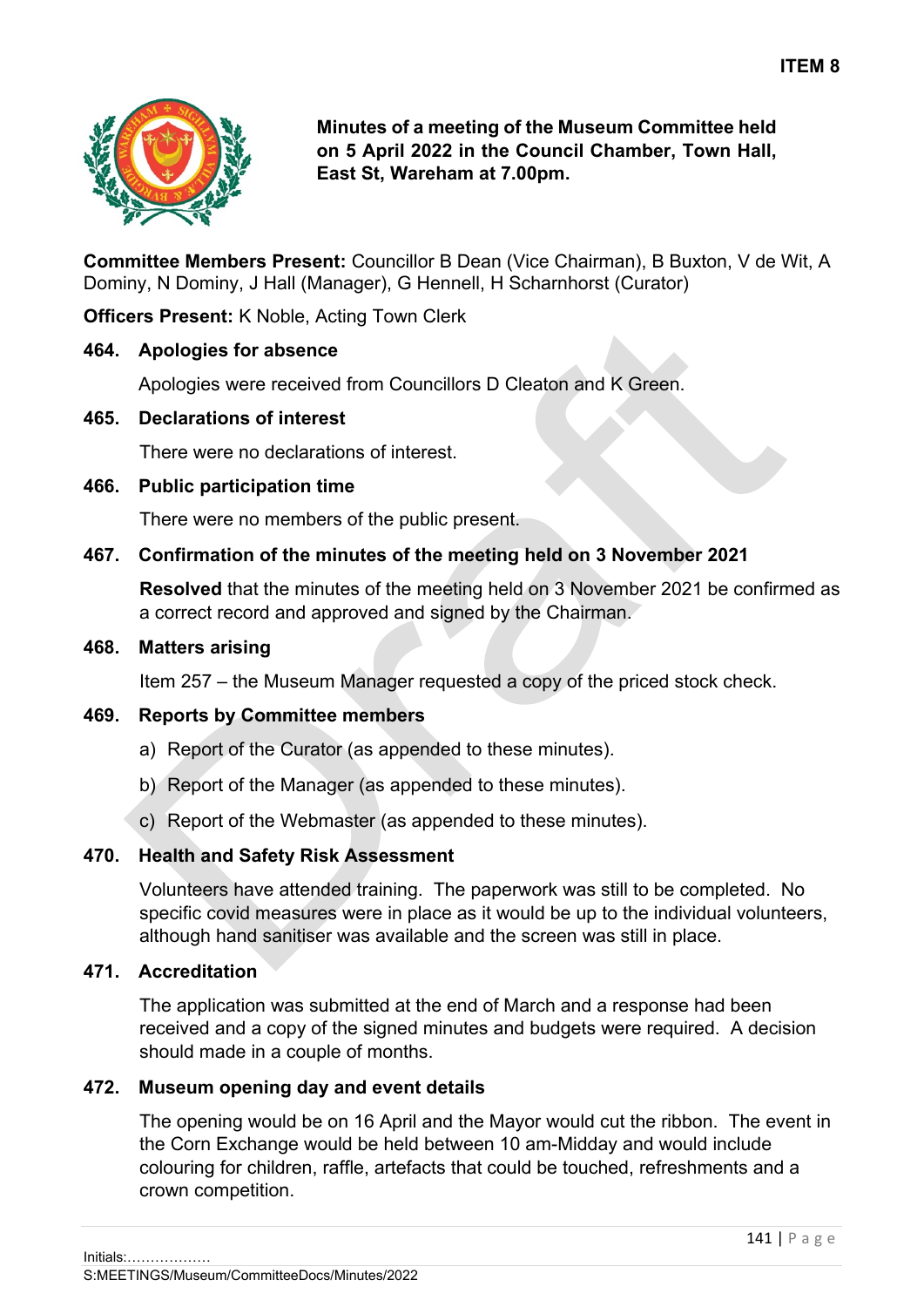

**Minutes of a meeting of the Museum Committee held on 5 April 2022 in the Council Chamber, Town Hall, East St, Wareham at 7.00pm.**

**Committee Members Present:** Councillor B Dean (Vice Chairman), B Buxton, V de Wit, A Dominy, N Dominy, J Hall (Manager), G Hennell, H Scharnhorst (Curator)

**Officers Present:** K Noble, Acting Town Clerk

## **464. Apologies for absence**

Apologies were received from Councillors D Cleaton and K Green.

## **465. Declarations of interest**

There were no declarations of interest.

## **466. Public participation time**

There were no members of the public present.

## **467. Confirmation of the minutes of the meeting held on 3 November 2021**

**Resolved** that the minutes of the meeting held on 3 November 2021 be confirmed as a correct record and approved and signed by the Chairman.

#### **468. Matters arising**

Item 257 – the Museum Manager requested a copy of the priced stock check.

## **469. Reports by Committee members**

- a) Report of the Curator (as appended to these minutes).
- b) Report of the Manager (as appended to these minutes).
- c) Report of the Webmaster (as appended to these minutes).

# **470. Health and Safety Risk Assessment**

Volunteers have attended training. The paperwork was still to be completed. No specific covid measures were in place as it would be up to the individual volunteers, although hand sanitiser was available and the screen was still in place.

## **471. Accreditation**

The application was submitted at the end of March and a response had been received and a copy of the signed minutes and budgets were required. A decision should made in a couple of months.

# **472. Museum opening day and event details**

The opening would be on 16 April and the Mayor would cut the ribbon. The event in the Corn Exchange would be held between 10 am-Midday and would include colouring for children, raffle, artefacts that could be touched, refreshments and a crown competition.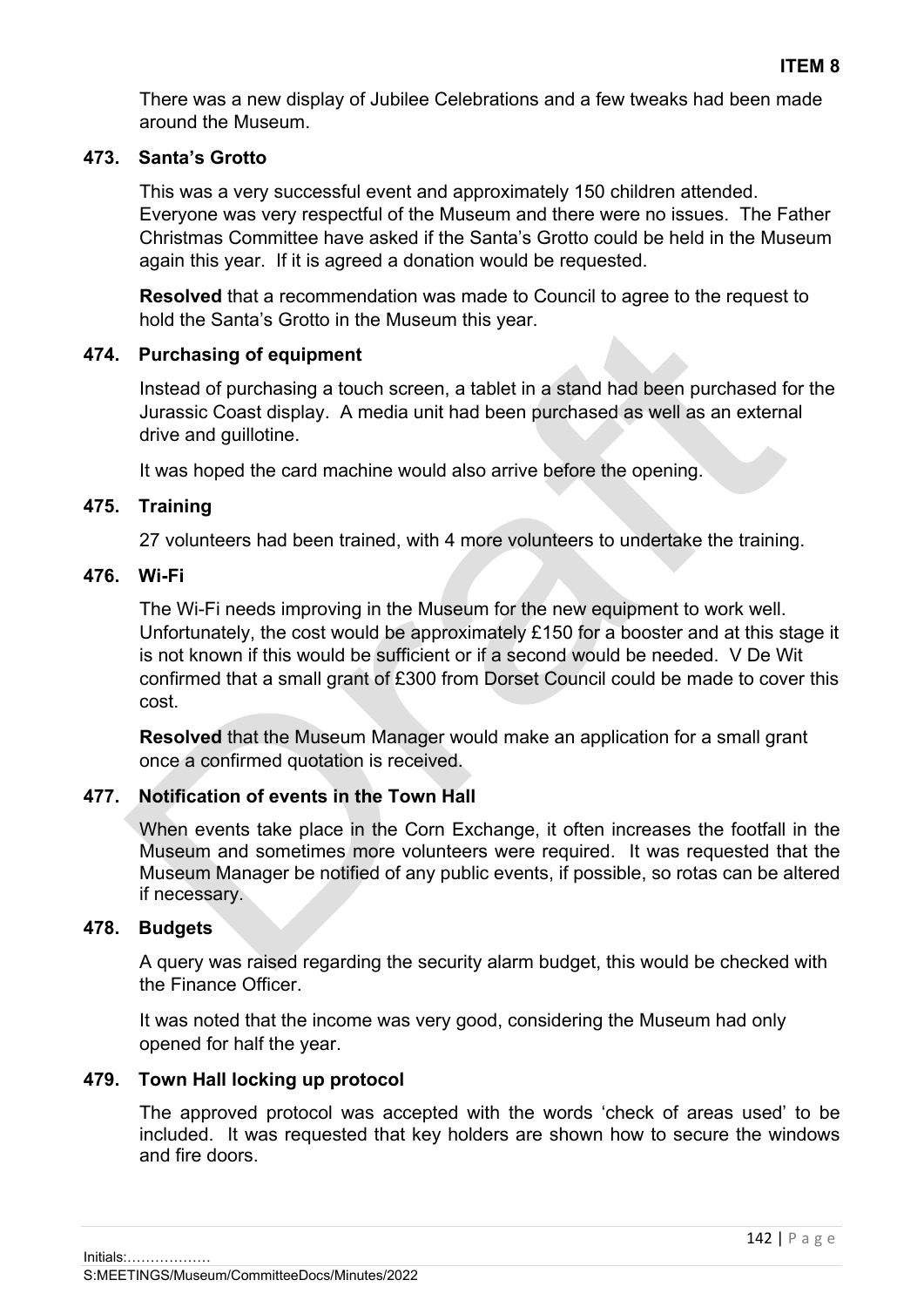There was a new display of Jubilee Celebrations and a few tweaks had been made around the Museum.

## **473. Santa's Grotto**

This was a very successful event and approximately 150 children attended. Everyone was very respectful of the Museum and there were no issues. The Father Christmas Committee have asked if the Santa's Grotto could be held in the Museum again this year. If it is agreed a donation would be requested.

**Resolved** that a recommendation was made to Council to agree to the request to hold the Santa's Grotto in the Museum this year.

## **474. Purchasing of equipment**

Instead of purchasing a touch screen, a tablet in a stand had been purchased for the Jurassic Coast display. A media unit had been purchased as well as an external drive and guillotine.

It was hoped the card machine would also arrive before the opening.

## **475. Training**

27 volunteers had been trained, with 4 more volunteers to undertake the training.

## **476. Wi-Fi**

The Wi-Fi needs improving in the Museum for the new equipment to work well. Unfortunately, the cost would be approximately £150 for a booster and at this stage it is not known if this would be sufficient or if a second would be needed. V De Wit confirmed that a small grant of £300 from Dorset Council could be made to cover this cost.

**Resolved** that the Museum Manager would make an application for a small grant once a confirmed quotation is received.

# **477. Notification of events in the Town Hall**

When events take place in the Corn Exchange, it often increases the footfall in the Museum and sometimes more volunteers were required. It was requested that the Museum Manager be notified of any public events, if possible, so rotas can be altered if necessary.

## **478. Budgets**

A query was raised regarding the security alarm budget, this would be checked with the Finance Officer.

It was noted that the income was very good, considering the Museum had only opened for half the year.

# **479. Town Hall locking up protocol**

The approved protocol was accepted with the words 'check of areas used' to be included. It was requested that key holders are shown how to secure the windows and fire doors.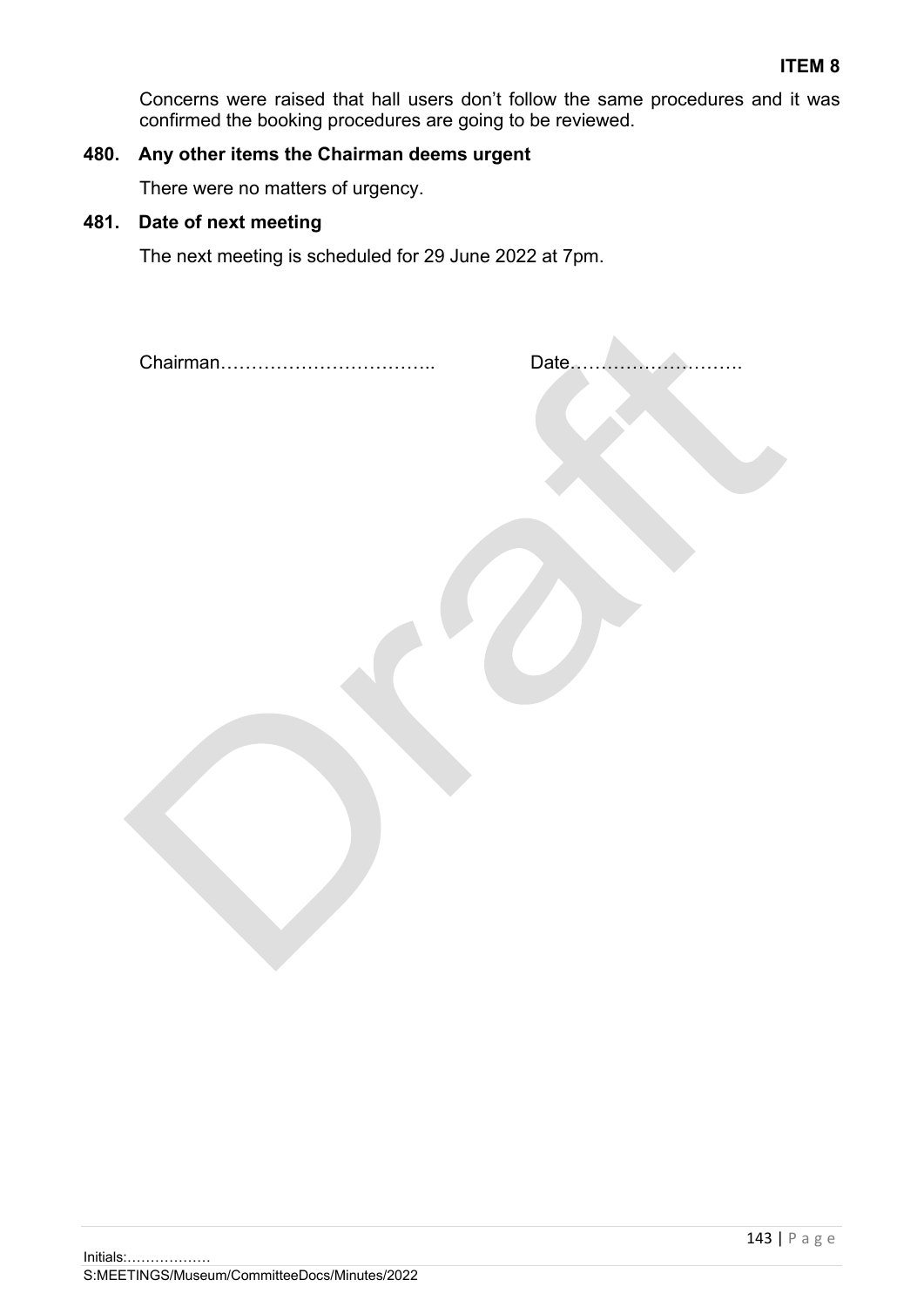Concerns were raised that hall users don't follow the same procedures and it was confirmed the booking procedures are going to be reviewed.

# **480. Any other items the Chairman deems urgent**

There were no matters of urgency.

# **481. Date of next meeting**

The next meeting is scheduled for 29 June 2022 at 7pm.

Chairman…………………………….. Date……………………….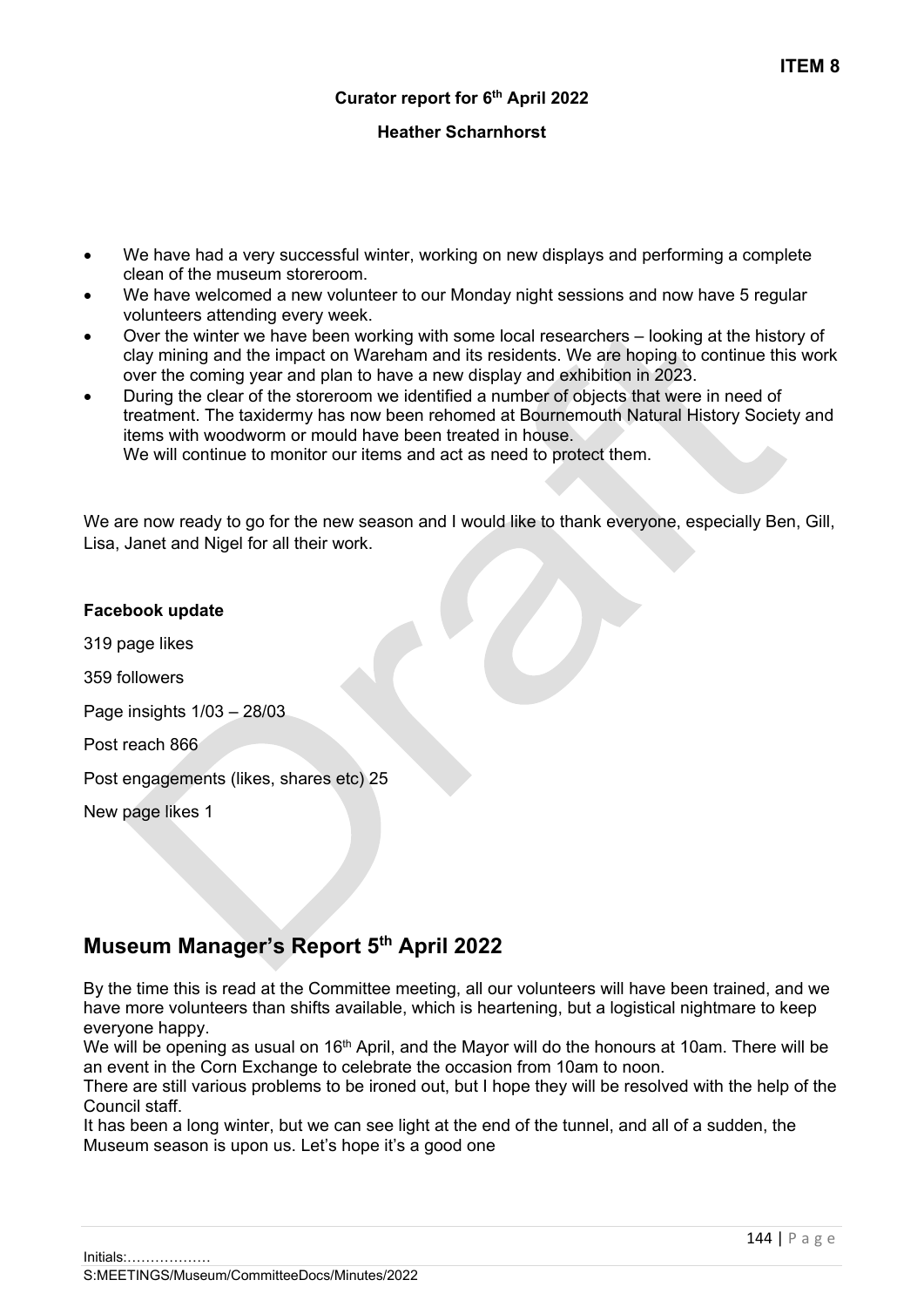#### **Heather Scharnhorst**

- We have had a very successful winter, working on new displays and performing a complete clean of the museum storeroom.
- We have welcomed a new volunteer to our Monday night sessions and now have 5 regular volunteers attending every week.
- Over the winter we have been working with some local researchers looking at the history of clay mining and the impact on Wareham and its residents. We are hoping to continue this work over the coming year and plan to have a new display and exhibition in 2023.
- During the clear of the storeroom we identified a number of objects that were in need of treatment. The taxidermy has now been rehomed at Bournemouth Natural History Society and items with woodworm or mould have been treated in house. We will continue to monitor our items and act as need to protect them.

We are now ready to go for the new season and I would like to thank everyone, especially Ben, Gill, Lisa, Janet and Nigel for all their work.

| Facebook update                         |
|-----------------------------------------|
| 319 page likes                          |
| 359 followers                           |
| Page insights $1/03 - 28/03$            |
| Post reach 866                          |
| Post engagements (likes, shares etc) 25 |
| New page likes 1                        |
|                                         |

# **Museum Manager's Report 5th April 2022**

By the time this is read at the Committee meeting, all our volunteers will have been trained, and we have more volunteers than shifts available, which is heartening, but a logistical nightmare to keep everyone happy.

We will be opening as usual on 16<sup>th</sup> April, and the Mayor will do the honours at 10am. There will be an event in the Corn Exchange to celebrate the occasion from 10am to noon.

There are still various problems to be ironed out, but I hope they will be resolved with the help of the Council staff.

It has been a long winter, but we can see light at the end of the tunnel, and all of a sudden, the Museum season is upon us. Let's hope it's a good one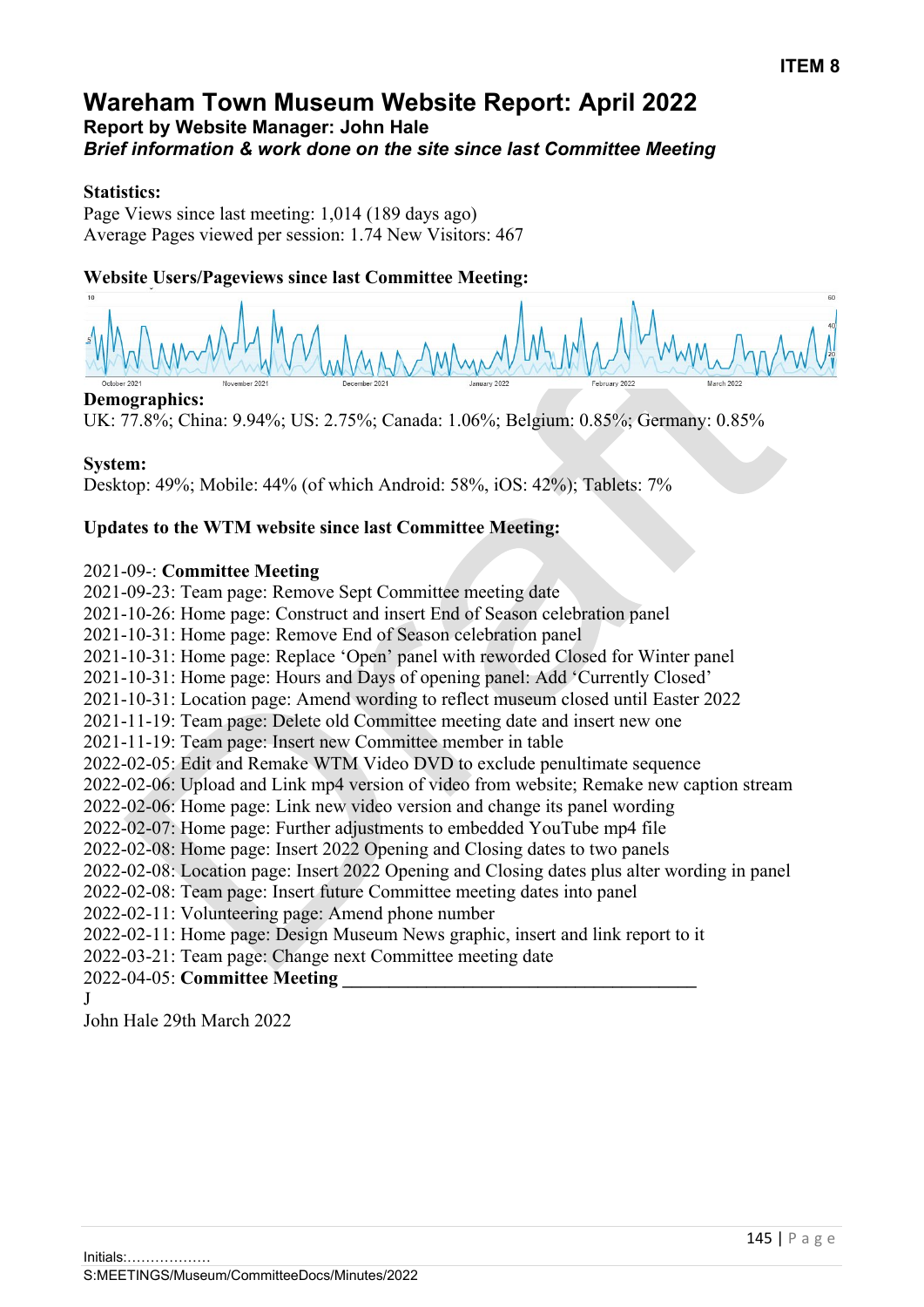# **Wareham Town Museum Website Report: April 2022 Report by Website Manager: John Hale** *Brief information & work done on the site since last Committee Meeting*

#### **Statistics:**

Page Views since last meeting: 1,014 (189 days ago) Average Pages viewed per session: 1.74 New Visitors: 467

## **Website Users/Pageviews since last Committee Meeting:**

#### **Demographics:**

UK: 77.8%; China: 9.94%; US: 2.75%; Canada: 1.06%; Belgium: 0.85%; Germany: 0.85%

#### **System:**

Desktop: 49%; Mobile: 44% (of which Android: 58%, iOS: 42%); Tablets: 7%

## **Updates to the WTM website since last Committee Meeting:**

#### 2021-09-: **Committee Meeting**

2021-09-23: Team page: Remove Sept Committee meeting date 2021-10-26: Home page: Construct and insert End of Season celebration panel 2021-10-31: Home page: Remove End of Season celebration panel 2021-10-31: Home page: Replace 'Open' panel with reworded Closed for Winter panel 2021-10-31: Home page: Hours and Days of opening panel: Add 'Currently Closed' 2021-10-31: Location page: Amend wording to reflect museum closed until Easter 2022 2021-11-19: Team page: Delete old Committee meeting date and insert new one 2021-11-19: Team page: Insert new Committee member in table 2022-02-05: Edit and Remake WTM Video DVD to exclude penultimate sequence 2022-02-06: Upload and Link mp4 version of video from website; Remake new caption stream 2022-02-06: Home page: Link new video version and change its panel wording 2022-02-07: Home page: Further adjustments to embedded YouTube mp4 file 2022-02-08: Home page: Insert 2022 Opening and Closing dates to two panels 2022-02-08: Location page: Insert 2022 Opening and Closing dates plus alter wording in panel 2022-02-08: Team page: Insert future Committee meeting dates into panel 2022-02-11: Volunteering page: Amend phone number 2022-02-11: Home page: Design Museum News graphic, insert and link report to it 2022-03-21: Team page: Change next Committee meeting date 2022-04-05: **Committee Meeting \_\_\_\_\_\_\_\_\_\_\_\_\_\_\_\_\_\_\_\_\_\_\_\_\_\_\_\_\_\_\_\_\_\_\_\_\_\_**  J

John Hale 29th March 2022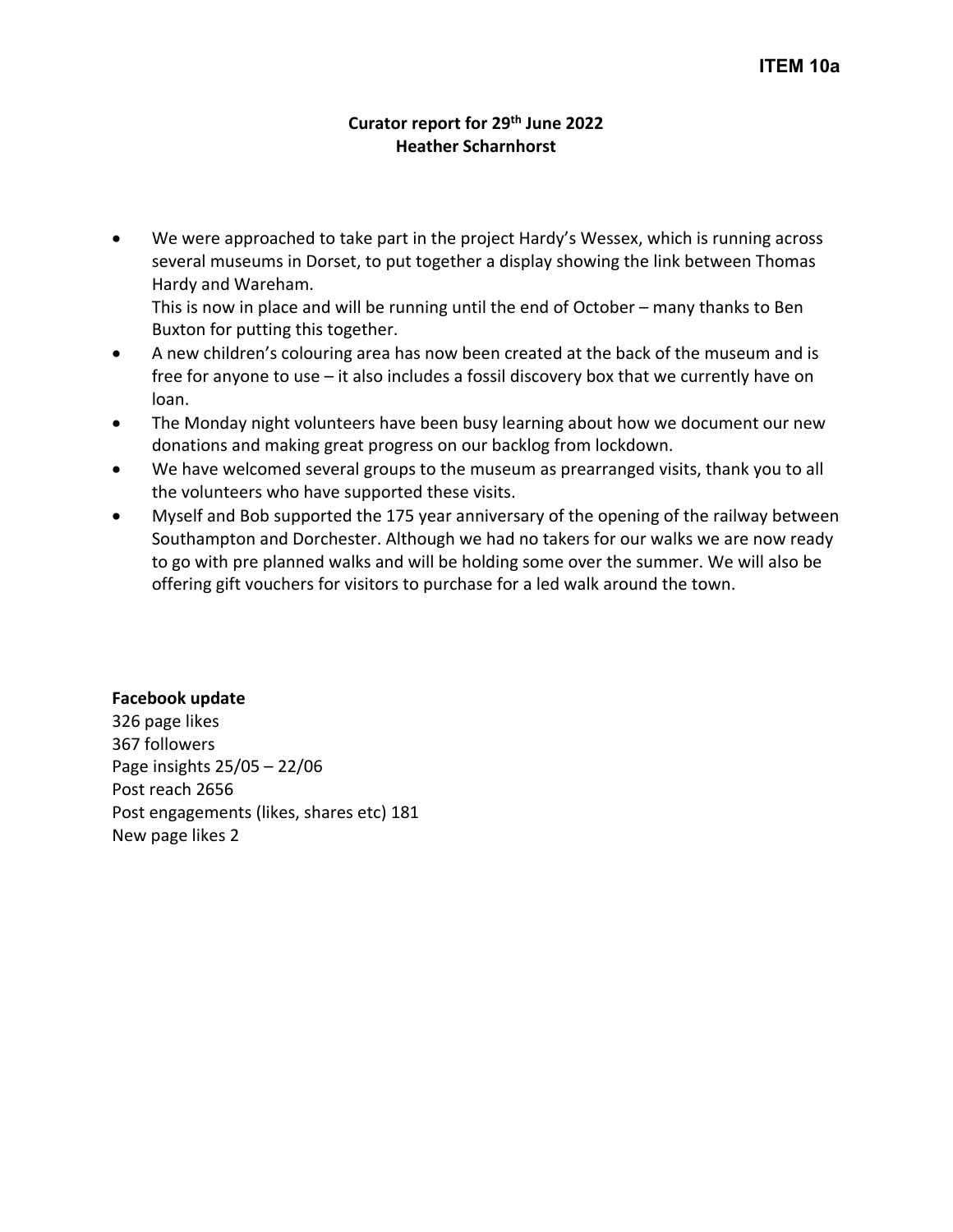#### **Curator report for 29th June 2022 Heather Scharnhorst**

We were approached to take part in the project Hardy's Wessex, which is running across several museums in Dorset, to put together a display showing the link between Thomas Hardy and Wareham.

This is now in place and will be running until the end of October – many thanks to Ben Buxton for putting this together.

- A new children's colouring area has now been created at the back of the museum and is free for anyone to use – it also includes a fossil discovery box that we currently have on loan.
- The Monday night volunteers have been busy learning about how we document our new donations and making great progress on our backlog from lockdown.
- We have welcomed several groups to the museum as prearranged visits, thank you to all the volunteers who have supported these visits.
- Myself and Bob supported the 175 year anniversary of the opening of the railway between Southampton and Dorchester. Although we had no takers for our walks we are now ready to go with pre planned walks and will be holding some over the summer. We will also be offering gift vouchers for visitors to purchase for a led walk around the town.

#### **Facebook update**

326 page likes 367 followers Page insights 25/05 – 22/06 Post reach 2656 Post engagements (likes, shares etc) 181 New page likes 2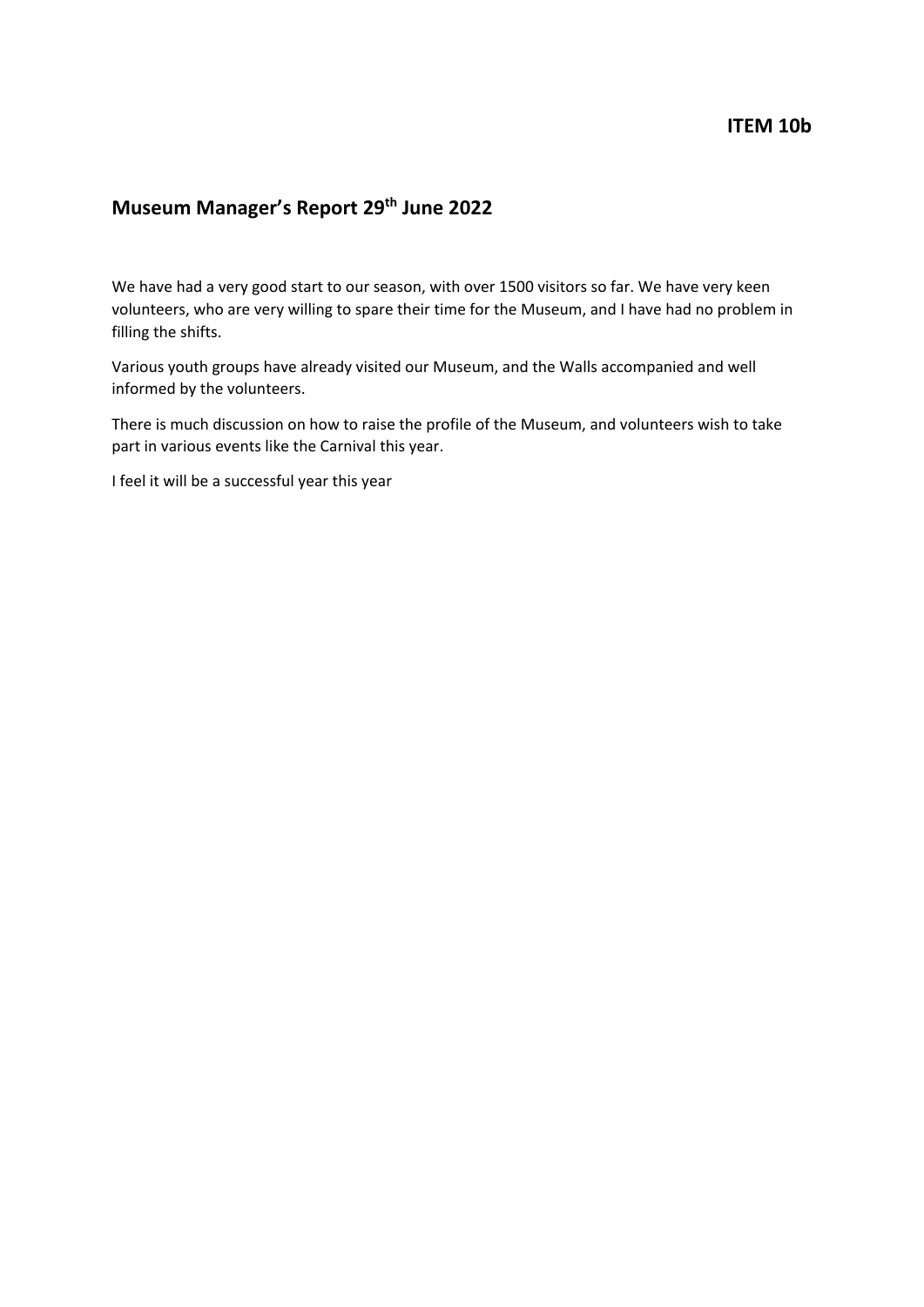# **Museum Manager's Report 29th June 2022**

We have had a very good start to our season, with over 1500 visitors so far. We have very keen volunteers, who are very willing to spare their time for the Museum, and I have had no problem in filling the shifts.

Various youth groups have already visited our Museum, and the Walls accompanied and well informed by the volunteers.

There is much discussion on how to raise the profile of the Museum, and volunteers wish to take part in various events like the Carnival this year.

I feel it will be a successful year this year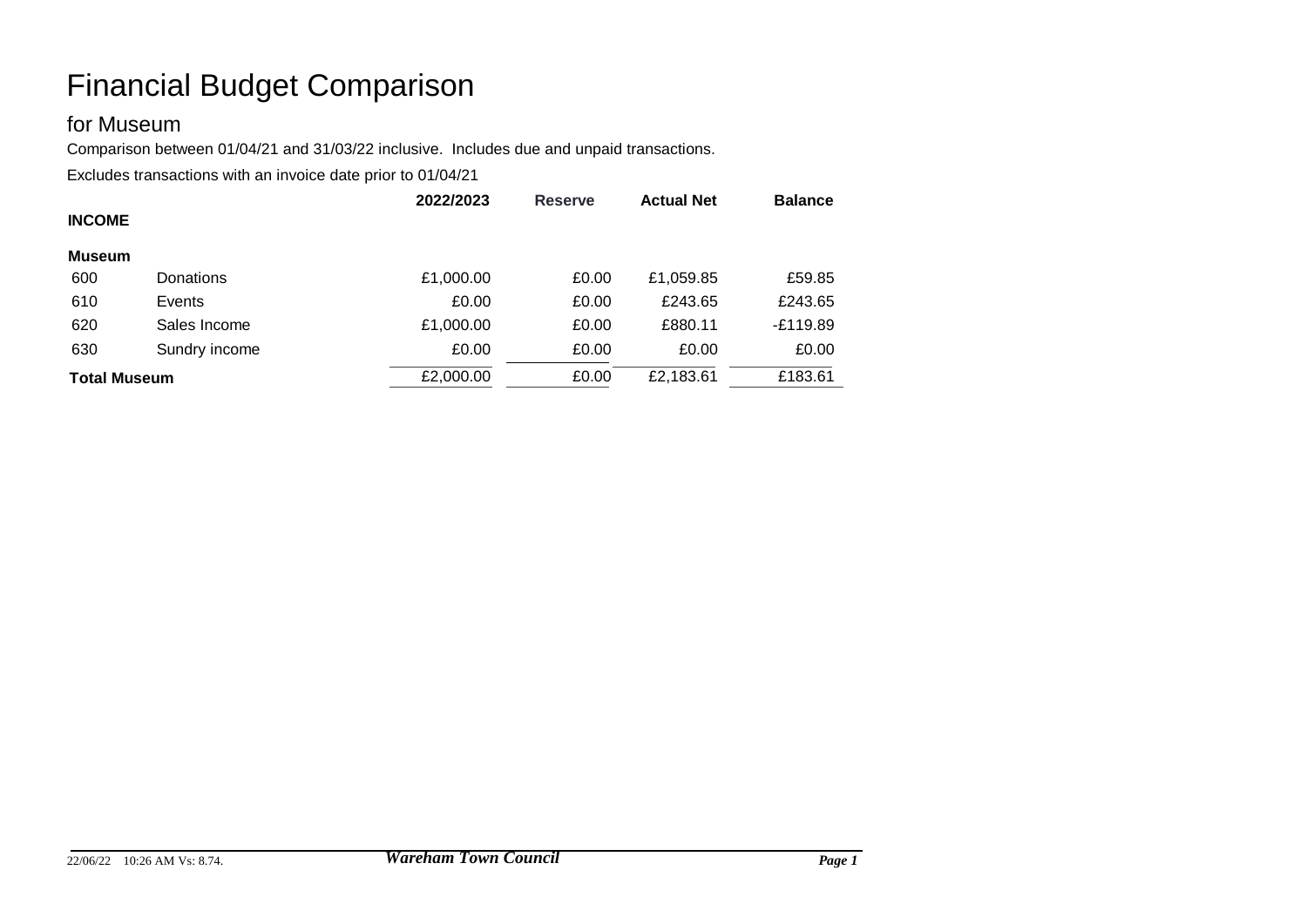# for Museum

Comparison between 01/04/21 and 31/03/22 inclusive. Includes due and unpaid transactions.

|                     |               | 2022/2023 | <b>Reserve</b> | <b>Actual Net</b> | <b>Balance</b> |
|---------------------|---------------|-----------|----------------|-------------------|----------------|
| <b>INCOME</b>       |               |           |                |                   |                |
| <b>Museum</b>       |               |           |                |                   |                |
| 600                 | Donations     | £1,000.00 | £0.00          | £1,059.85         | £59.85         |
| 610                 | Events        | £0.00     | £0.00          | £243.65           | £243.65        |
| 620                 | Sales Income  | £1,000.00 | £0.00          | £880.11           | $-E119.89$     |
| 630                 | Sundry income | £0.00     | £0.00          | £0.00             | £0.00          |
| <b>Total Museum</b> |               | £2,000.00 | £0.00          | £2,183.61         | £183.61        |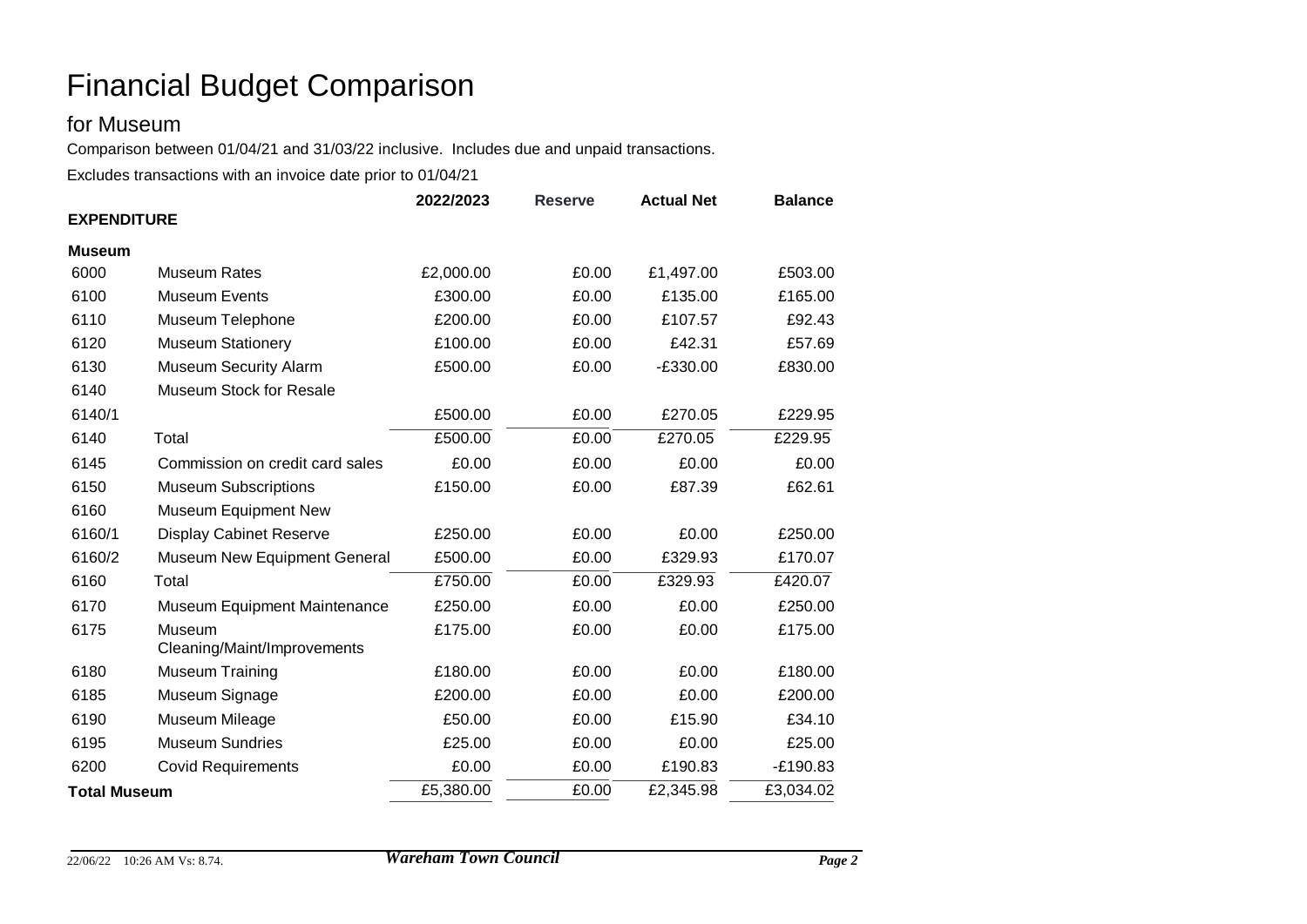# for Museum

Comparison between 01/04/21 and 31/03/22 inclusive. Includes due and unpaid transactions.

|                     |                                       | 2022/2023<br><b>Reserve</b> |       | <b>Actual Net</b> | <b>Balance</b> |  |  |
|---------------------|---------------------------------------|-----------------------------|-------|-------------------|----------------|--|--|
| <b>EXPENDITURE</b>  |                                       |                             |       |                   |                |  |  |
| <b>Museum</b>       |                                       |                             |       |                   |                |  |  |
| 6000                | <b>Museum Rates</b>                   | £2,000.00                   | £0.00 | £1,497.00         | £503.00        |  |  |
| 6100                | <b>Museum Events</b>                  | £300.00                     | £0.00 | £135.00           | £165.00        |  |  |
| 6110                | Museum Telephone                      | £200.00                     | £0.00 | £107.57           | £92.43         |  |  |
| 6120                | <b>Museum Stationery</b>              | £100.00                     | £0.00 | £42.31            | £57.69         |  |  |
| 6130                | <b>Museum Security Alarm</b>          | £500.00                     | £0.00 | $-E330.00$        | £830.00        |  |  |
| 6140                | Museum Stock for Resale               |                             |       |                   |                |  |  |
| 6140/1              |                                       | £500.00                     | £0.00 | £270.05           | £229.95        |  |  |
| 6140                | Total                                 | £500.00                     | £0.00 | £270.05           | £229.95        |  |  |
| 6145                | Commission on credit card sales       | £0.00                       | £0.00 | £0.00             | £0.00          |  |  |
| 6150                | <b>Museum Subscriptions</b>           | £150.00                     | £0.00 | £87.39            | £62.61         |  |  |
| 6160                | <b>Museum Equipment New</b>           |                             |       |                   |                |  |  |
| 6160/1              | <b>Display Cabinet Reserve</b>        | £250.00                     | £0.00 | £0.00             | £250.00        |  |  |
| 6160/2              | Museum New Equipment General          | £500.00                     | £0.00 | £329.93           | £170.07        |  |  |
| 6160                | Total                                 | £750.00                     | £0.00 | £329.93           | £420.07        |  |  |
| 6170                | <b>Museum Equipment Maintenance</b>   | £250.00                     | £0.00 | £0.00             | £250.00        |  |  |
| 6175                | Museum<br>Cleaning/Maint/Improvements | £175.00                     | £0.00 | £0.00             | £175.00        |  |  |
| 6180                | <b>Museum Training</b>                | £180.00                     | £0.00 | £0.00             | £180.00        |  |  |
| 6185                | Museum Signage                        | £200.00                     | £0.00 | £0.00             | £200.00        |  |  |
| 6190                | Museum Mileage                        | £50.00                      | £0.00 | £15.90            | £34.10         |  |  |
| 6195                | <b>Museum Sundries</b>                | £25.00                      | £0.00 | £0.00             | £25.00         |  |  |
| 6200                | <b>Covid Requirements</b>             | £0.00                       | £0.00 | £190.83           | $-E190.83$     |  |  |
| <b>Total Museum</b> |                                       | £5,380.00                   | £0.00 | £2,345.98         | £3,034.02      |  |  |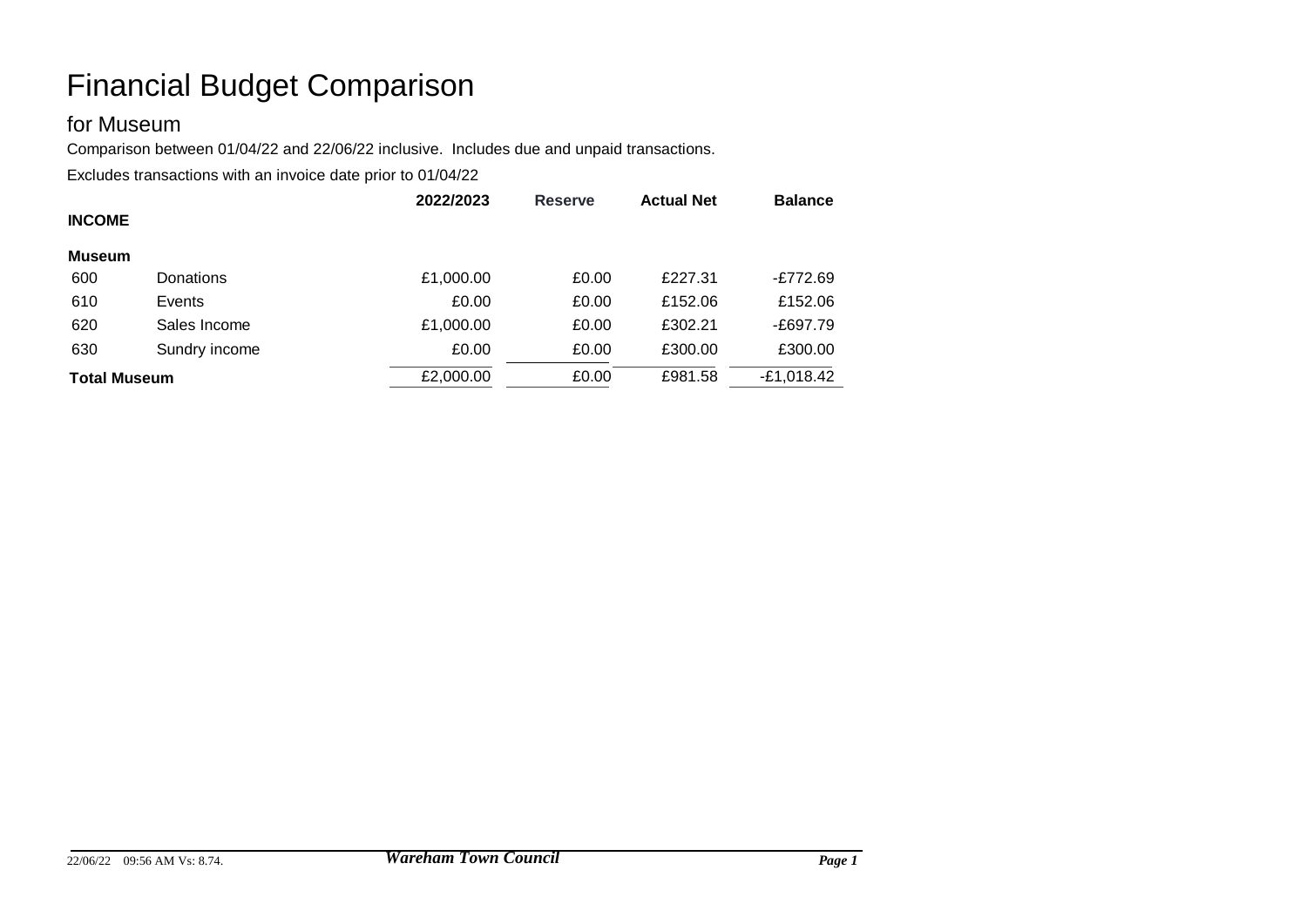# for Museum

Comparison between 01/04/22 and 22/06/22 inclusive. Includes due and unpaid transactions.

|                     |               | 2022/2023 | <b>Reserve</b> | <b>Actual Net</b> | <b>Balance</b> |
|---------------------|---------------|-----------|----------------|-------------------|----------------|
| <b>INCOME</b>       |               |           |                |                   |                |
| <b>Museum</b>       |               |           |                |                   |                |
| 600                 | Donations     | £1,000.00 | £0.00          | £227.31           | -£772.69       |
| 610                 | Events        | £0.00     | £0.00          | £152.06           | £152.06        |
| 620                 | Sales Income  | £1,000.00 | £0.00          | £302.21           | -£697.79       |
| 630                 | Sundry income | £0.00     | £0.00          | £300.00           | £300.00        |
| <b>Total Museum</b> |               | £2,000.00 | £0.00          | £981.58           | $-E1,018.42$   |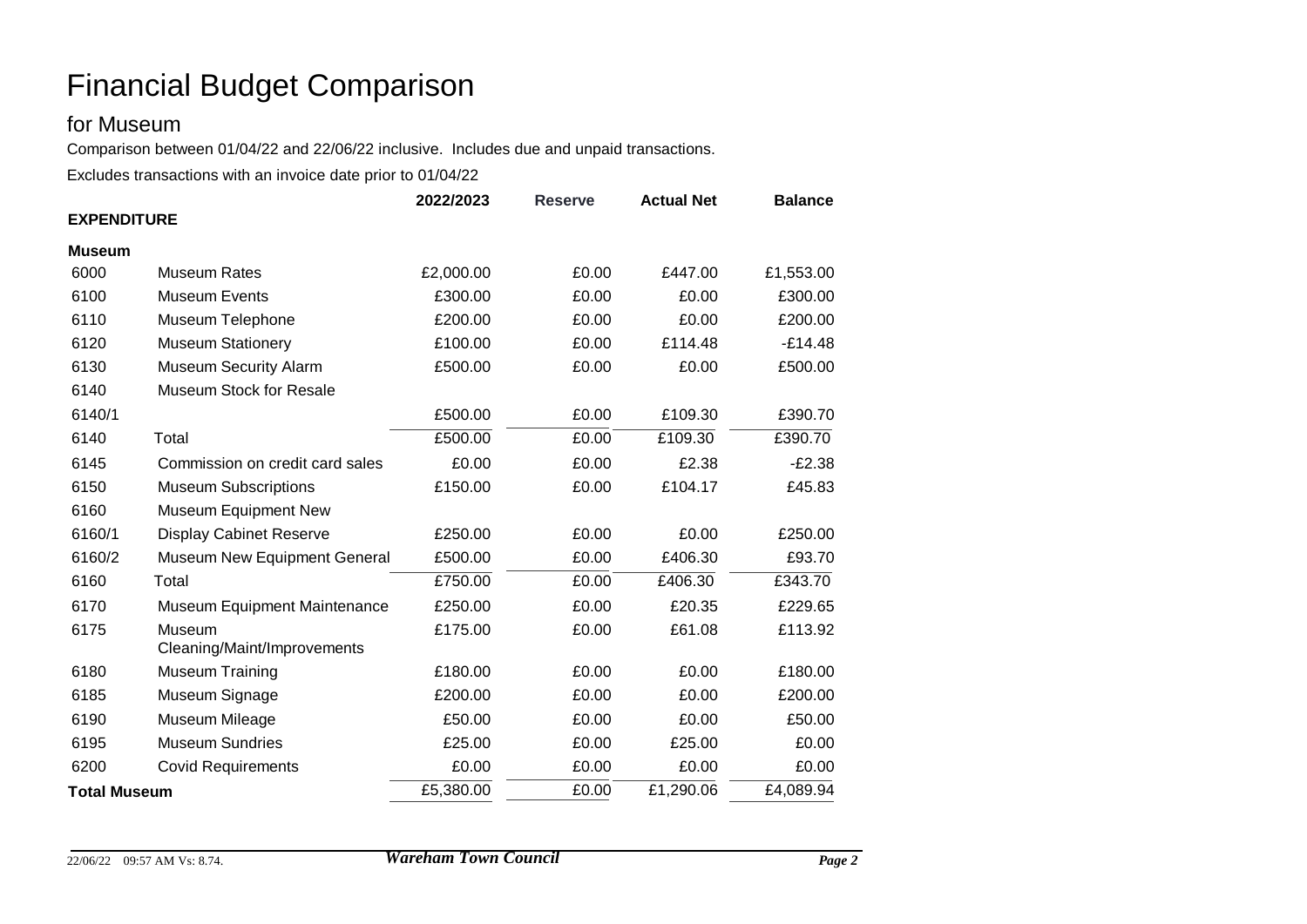# for Museum

Comparison between 01/04/22 and 22/06/22 inclusive. Includes due and unpaid transactions.

|                     |                                       | 2022/2023<br><b>Reserve</b> |       | <b>Actual Net</b> | <b>Balance</b> |  |  |
|---------------------|---------------------------------------|-----------------------------|-------|-------------------|----------------|--|--|
| <b>EXPENDITURE</b>  |                                       |                             |       |                   |                |  |  |
| <b>Museum</b>       |                                       |                             |       |                   |                |  |  |
| 6000                | <b>Museum Rates</b>                   | £2,000.00                   | £0.00 | £447.00           | £1,553.00      |  |  |
| 6100                | <b>Museum Events</b>                  | £300.00                     | £0.00 | £0.00             | £300.00        |  |  |
| 6110                | Museum Telephone                      | £200.00                     | £0.00 | £0.00             | £200.00        |  |  |
| 6120                | <b>Museum Stationery</b>              | £100.00                     | £0.00 | £114.48           | $-E14.48$      |  |  |
| 6130                | <b>Museum Security Alarm</b>          | £500.00                     | £0.00 | £0.00             | £500.00        |  |  |
| 6140                | Museum Stock for Resale               |                             |       |                   |                |  |  |
| 6140/1              |                                       | £500.00                     | £0.00 | £109.30           | £390.70        |  |  |
| 6140                | Total                                 | £500.00                     | £0.00 | £109.30           | £390.70        |  |  |
| 6145                | Commission on credit card sales       | £0.00                       | £0.00 | £2.38             | $-E2.38$       |  |  |
| 6150                | <b>Museum Subscriptions</b>           | £150.00                     | £0.00 | £104.17           | £45.83         |  |  |
| 6160                | Museum Equipment New                  |                             |       |                   |                |  |  |
| 6160/1              | <b>Display Cabinet Reserve</b>        | £250.00                     | £0.00 | £0.00             | £250.00        |  |  |
| 6160/2              | Museum New Equipment General          | £500.00                     | £0.00 | £406.30           | £93.70         |  |  |
| 6160                | Total                                 | £750.00                     | £0.00 | £406.30           | £343.70        |  |  |
| 6170                | <b>Museum Equipment Maintenance</b>   | £250.00                     | £0.00 | £20.35            | £229.65        |  |  |
| 6175                | Museum<br>Cleaning/Maint/Improvements | £175.00                     | £0.00 | £61.08            | £113.92        |  |  |
| 6180                | <b>Museum Training</b>                | £180.00                     | £0.00 | £0.00             | £180.00        |  |  |
| 6185                | Museum Signage                        | £200.00                     | £0.00 | £0.00             | £200.00        |  |  |
| 6190                | Museum Mileage                        | £50.00                      | £0.00 | £0.00             | £50.00         |  |  |
| 6195                | <b>Museum Sundries</b>                | £25.00                      | £0.00 | £25.00            | £0.00          |  |  |
| 6200                | <b>Covid Requirements</b>             | £0.00                       | £0.00 | £0.00             | £0.00          |  |  |
| <b>Total Museum</b> |                                       | £5,380.00                   | £0.00 | £1,290.06         | £4,089.94      |  |  |